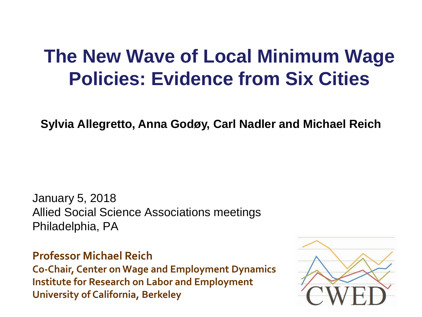#### **The New Wave of Local Minimum Wage Policies: Evidence from Six Cities**

**Sylvia Allegretto, Anna Godøy, Carl Nadler and Michael Reich** 

January 5, 2018 Allied Social Science Associations meetings Philadelphia, PA

**Professor Michael Reich Co-Chair, Center on Wage and Employment Dynamics Institute for Research on Labor and Employment University of California, Berkeley**

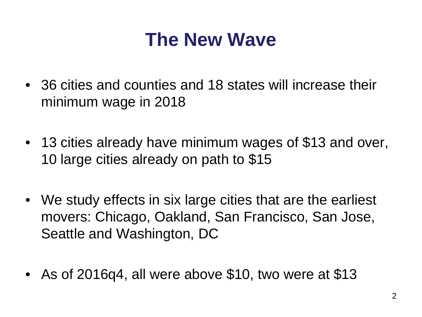#### **The New Wave**

- 36 cities and counties and 18 states will increase their minimum wage in 2018
- 13 cities already have minimum wages of \$13 and over, 10 large cities already on path to \$15
- We study effects in six large cities that are the earliest movers: Chicago, Oakland, San Francisco, San Jose, Seattle and Washington, DC
- As of 2016q4, all were above \$10, two were at \$13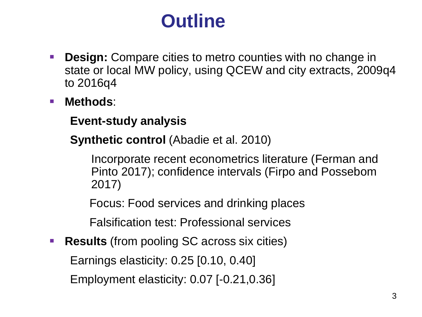#### **Outline**

- **Design:** Compare cities to metro counties with no change in state or local MW policy, using QCEW and city extracts, 2009q4 to 2016q4
- **Methods**:
	- **Event-study analysis**
	- **Synthetic control** (Abadie et al. 2010)

Incorporate recent econometrics literature (Ferman and Pinto 2017); confidence intervals (Firpo and Possebom 2017)

Focus: Food services and drinking places

Falsification test: Professional services

**Results** (from pooling SC across six cities)

Earnings elasticity: 0.25 [0.10, 0.40]

Employment elasticity: 0.07 [-0.21,0.36]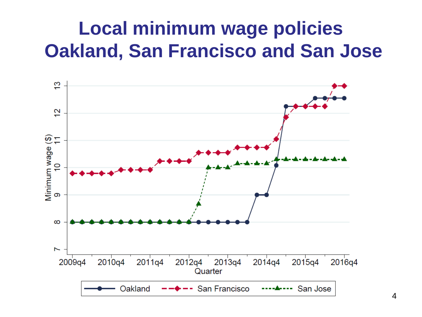#### **Local minimum wage policies Oakland, San Francisco and San Jose**

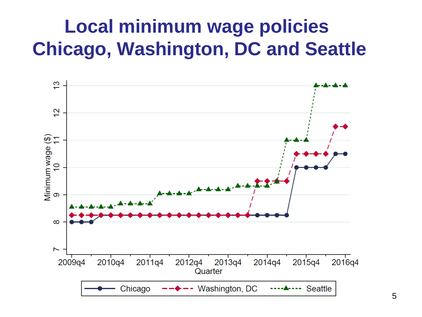#### **Local minimum wage policies Chicago, Washington, DC and Seattle**

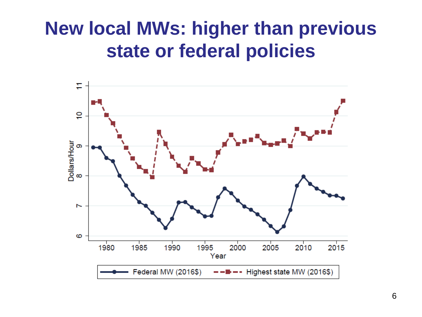#### **New local MWs: higher than previous state or federal policies**

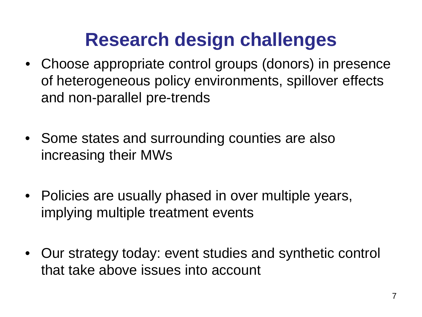#### **Research design challenges**

- Choose appropriate control groups (donors) in presence of heterogeneous policy environments, spillover effects and non-parallel pre-trends
- Some states and surrounding counties are also increasing their MWs
- Policies are usually phased in over multiple years, implying multiple treatment events
- Our strategy today: event studies and synthetic control that take above issues into account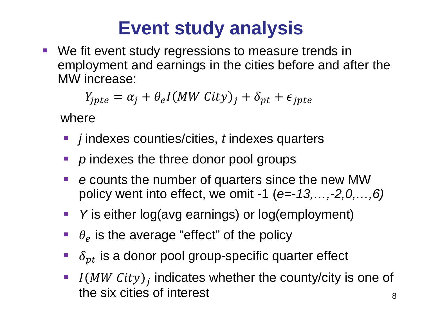### **Event study analysis**

 We fit event study regressions to measure trends in employment and earnings in the cities before and after the MW increase:

$$
Y_{jpte} = \alpha_j + \theta_e I(MW City)_j + \delta_{pt} + \epsilon_{jpte}
$$

where

- *j* indexes counties/cities, *t* indexes quarters
- *p* indexes the three donor pool groups
- *e* counts the number of quarters since the new MW policy went into effect, we omit -1 (*e=-13,…,-2,0,…,6)*
- *Y* is either log(avg earnings) or log(employment)
- $\theta_e$  is the average "effect" of the policy
- $\delta_{pt}$  is a donor pool group-specific quarter effect
- If  $I(MW City)$ ; indicates whether the county/city is one of the six cities of interest and a set of  $\frac{8}{3}$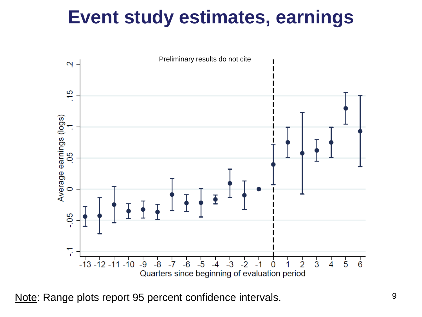#### **Event study estimates, earnings**



Note: Range plots report 95 percent confidence intervals.  $9^9$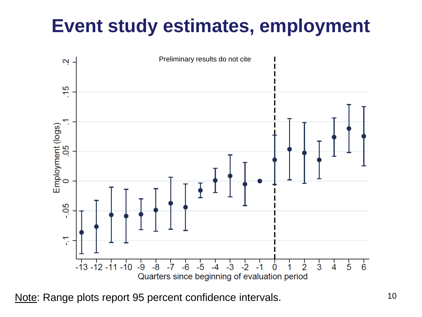#### **Event study estimates, employment**



Note: Range plots report 95 percent confidence intervals. 10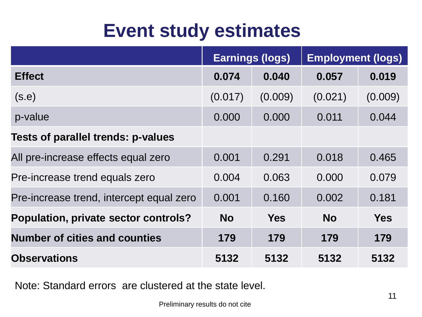#### **Event study estimates**

|                                          | <b>Earnings (logs)</b> |            | <b>Employment (logs)</b> |            |
|------------------------------------------|------------------------|------------|--------------------------|------------|
| <b>Effect</b>                            | 0.074                  | 0.040      | 0.057                    | 0.019      |
| (s.e)                                    | (0.017)                | (0.009)    | (0.021)                  | (0.009)    |
| p-value                                  | 0.000                  | 0.000      | 0.011                    | 0.044      |
| Tests of parallel trends: p-values       |                        |            |                          |            |
| All pre-increase effects equal zero      | 0.001                  | 0.291      | 0.018                    | 0.465      |
| Pre-increase trend equals zero           | 0.004                  | 0.063      | 0.000                    | 0.079      |
| Pre-increase trend, intercept equal zero | 0.001                  | 0.160      | 0.002                    | 0.181      |
| Population, private sector controls?     | <b>No</b>              | <b>Yes</b> | <b>No</b>                | <b>Yes</b> |
| <b>Number of cities and counties</b>     | 179                    | 179        | 179                      | 179        |
| <b>Observations</b>                      | 5132                   | 5132       | 5132                     | 5132       |

Note: Standard errors are clustered at the state level.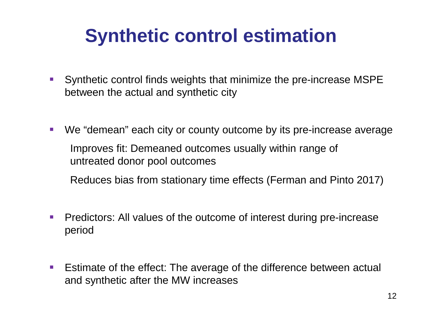#### **Synthetic control estimation**

- Synthetic control finds weights that minimize the pre-increase MSPE between the actual and synthetic city
- We "demean" each city or county outcome by its pre-increase average Improves fit: Demeaned outcomes usually within range of untreated donor pool outcomes

Reduces bias from stationary time effects (Ferman and Pinto 2017)

- **Predictors: All values of the outcome of interest during pre-increase** period
- **E** Estimate of the effect: The average of the difference between actual and synthetic after the MW increases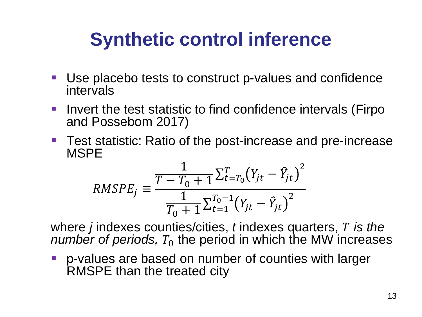### **Synthetic control inference**

- Use placebo tests to construct p-values and confidence intervals
- Invert the test statistic to find confidence intervals (Firpo and Possebom 2017)
- Test statistic: Ratio of the post-increase and pre-increase MSPE

$$
RMSPE_j \equiv \frac{\frac{1}{T - T_0 + 1} \sum_{t=T_0}^{T} (Y_{jt} - \hat{Y}_{jt})^2}{\frac{1}{T_0 + 1} \sum_{t=1}^{T_0 - 1} (Y_{jt} - \hat{Y}_{jt})^2}
$$

where *j* indexes counties/cities, *t* indexes quarters, *is the number of periods,*  $T_0$  the period in which the MW increases

**P** p-values are based on number of counties with larger RMSPE than the treated city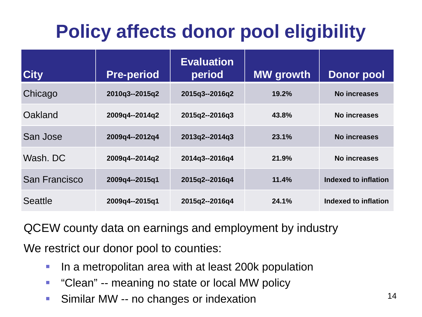## **Policy affects donor pool eligibility**

| <b>City</b>    | <b>Pre-period</b> | <b>Evaluation</b><br>period | <b>MW</b> growth | <b>Donor pool</b>           |
|----------------|-------------------|-----------------------------|------------------|-----------------------------|
| Chicago        | 2010q3--2015q2    | 2015q3--2016q2              | 19.2%            | No increases                |
| Oakland        | 2009q4 -- 2014q2  | 2015q2--2016q3              | 43.8%            | <b>No increases</b>         |
| San Jose       | 2009q4--2012q4    | 2013q2--2014q3              | 23.1%            | No increases                |
| Wash, DC       | 2009q4--2014q2    | 2014q3--2016q4              | 21.9%            | No increases                |
| San Francisco  | 2009q4--2015q1    | 2015q2--2016q4              | 11.4%            | Indexed to inflation        |
| <b>Seattle</b> | 2009q4 -- 2015q1  | 2015q2--2016q4              | 24.1%            | <b>Indexed to inflation</b> |

QCEW county data on earnings and employment by industry

We restrict our donor pool to counties:

- **If** In a metropolitan area with at least 200k population
- **-** "Clean" -- meaning no state or local MW policy
- **Similar MW -- no changes or indexation**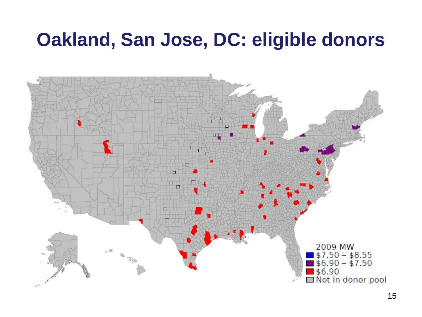#### **Oakland, San Jose, DC: eligible donors**

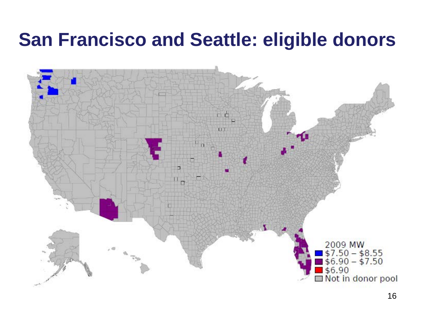#### **San Francisco and Seattle: eligible donors**

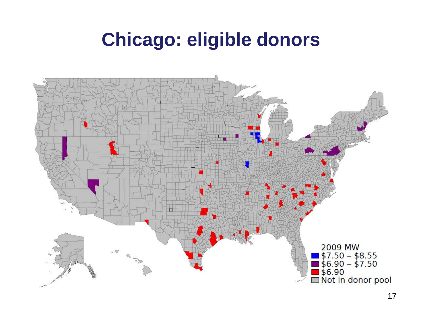#### **Chicago: eligible donors**

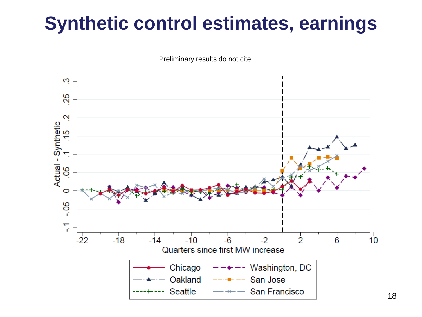#### **Synthetic control estimates, earnings**



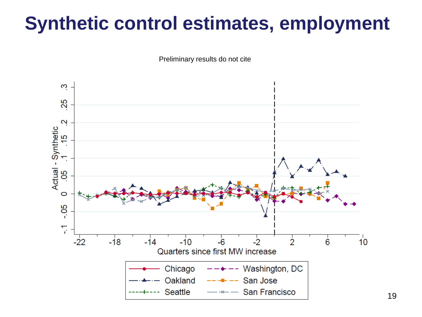### **Synthetic control estimates, employment**

Preliminary results do not cite

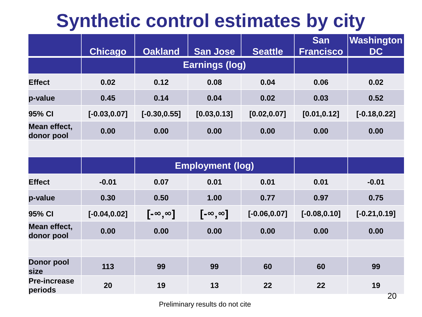#### **Synthetic control estimates by city**

|                                |                 |                                                                              |                         |                 | <b>San</b>       | Washington      |
|--------------------------------|-----------------|------------------------------------------------------------------------------|-------------------------|-----------------|------------------|-----------------|
|                                | <b>Chicago</b>  | <b>Oakland</b><br><b>San Jose</b><br><b>Seattle</b><br><b>Earnings (log)</b> |                         |                 | <b>Francisco</b> | <b>DC</b>       |
| <b>Effect</b>                  | 0.02            | 0.12                                                                         | 0.08                    | 0.04            | 0.06             | 0.02            |
| p-value                        | 0.45            | 0.14                                                                         | 0.04                    | 0.02            | 0.03             | 0.52            |
| 95% CI                         | $[-0.03, 0.07]$ | $[-0.30, 0.55]$                                                              | [0.03, 0.13]            | [0.02, 0.07]    | [0.01, 0.12]     | $[-0.18, 0.22]$ |
| Mean effect,<br>donor pool     | 0.00            | 0.00                                                                         | 0.00                    | 0.00            | 0.00             | 0.00            |
|                                |                 |                                                                              |                         |                 |                  |                 |
|                                |                 |                                                                              | <b>Employment (log)</b> |                 |                  |                 |
| <b>Effect</b>                  | $-0.01$         | 0.07                                                                         | 0.01                    | 0.01            | 0.01             | $-0.01$         |
| p-value                        | 0.30            | 0.50                                                                         | 1.00                    | 0.77            | 0.97             | 0.75            |
| 95% CI                         | $[-0.04, 0.02]$ | $[-\infty,\infty]$                                                           | $[-\infty,\infty]$      | $[-0.06, 0.07]$ | $[-0.08, 0.10]$  | $[-0.21, 0.19]$ |
| Mean effect,<br>donor pool     | 0.00            | 0.00                                                                         | 0.00                    | 0.00            | 0.00             | 0.00            |
|                                |                 |                                                                              |                         |                 |                  |                 |
| <b>Donor pool</b><br>size      | 113             | 99                                                                           | 99                      | 60              | 60               | 99              |
| <b>Pre-increase</b><br>periods | 20              | 19                                                                           | 13                      | 22              | 22               | 19<br>חר        |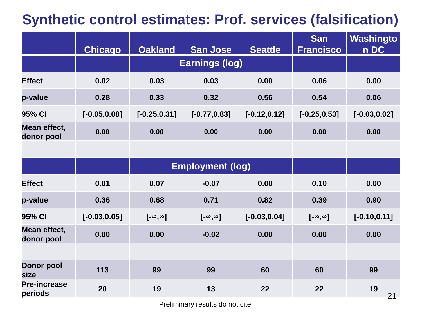#### **Synthetic control estimates: Prof. services (falsification)**

|                                | <b>Chicago</b>  | <b>Oakland</b>          | <b>San Jose</b>       | <b>Seattle</b>  | <b>San</b><br><b>Francisco</b> | Washingto<br>n DC |
|--------------------------------|-----------------|-------------------------|-----------------------|-----------------|--------------------------------|-------------------|
|                                |                 |                         | <b>Earnings (log)</b> |                 |                                |                   |
| <b>Effect</b>                  | 0.02            | 0.03                    | 0.03                  | 0.00            | 0.06                           | 0.00              |
| p-value                        | 0.28            | 0.33                    | 0.32                  | 0.56            | 0.54                           | 0.06              |
| 95% CI                         | $[-0.05, 0.08]$ | $[-0.25, 0.31]$         | $[-0.77, 0.83]$       | $[-0.12, 0.12]$ | $[-0.25, 0.53]$                | $[-0.03, 0.02]$   |
| Mean effect,<br>donor pool     | 0.00            | 0.00                    | 0.00                  | 0.00            | 0.00                           | 0.00              |
|                                |                 |                         |                       |                 |                                |                   |
|                                |                 | <b>Employment (log)</b> |                       |                 |                                |                   |
| <b>Effect</b>                  | 0.01            | 0.07                    | $-0.07$               | 0.00            | 0.10                           | 0.00              |
| p-value                        | 0.36            | 0.68                    | 0.71                  | 0.82            | 0.39                           | 0.90              |
| 95% CI                         | $[-0.03, 0.05]$ | $[-\infty,\infty]$      | $[-\infty, \infty]$   | $[-0.03, 0.04]$ | [- $\infty$ , $\infty$ ]       | $[-0.10, 0.11]$   |
| Mean effect,<br>donor pool     | 0.00            | 0.00                    | $-0.02$               | 0.00            | 0.00                           | 0.00              |
|                                |                 |                         |                       |                 |                                |                   |
| <b>Donor pool</b><br>size      | 113             | 99                      | 99                    | 60              | 60                             | 99                |
| <b>Pre-increase</b><br>periods | 20              | 19                      | 13                    | 22              | 22                             | 19<br>21          |

Preliminary results do not cite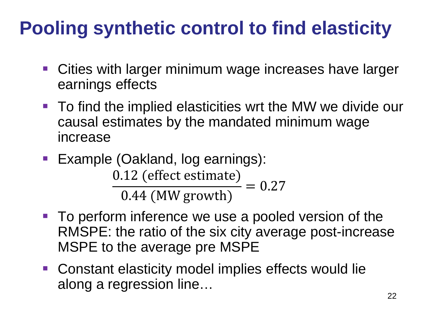## **Pooling synthetic control to find elasticity**

- Cities with larger minimum wage increases have larger earnings effects
- To find the implied elasticities wrt the MW we divide our causal estimates by the mandated minimum wage increase
- **Example (Oakland, log earnings):** 0.12 (effect estimate) 0.44 (MW growth)  $= 0.27$
- To perform inference we use a pooled version of the RMSPE: the ratio of the six city average post-increase MSPE to the average pre MSPE
- Constant elasticity model implies effects would lie along a regression line…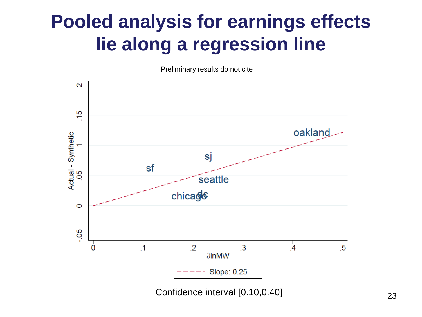#### **Pooled analysis for earnings effects lie along a regression line**

Preliminary results do not cite



Confidence interval [0.10,0.40]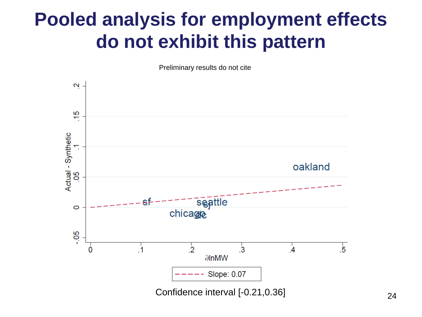#### **Pooled analysis for employment effects do not exhibit this pattern**

Preliminary results do not cite

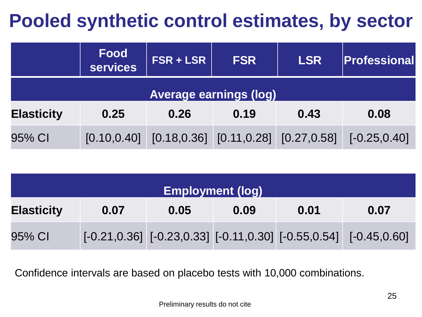#### **Pooled synthetic control estimates, by sector**

|                               | <b>Food</b><br><b>services</b> | <b>FSR + LSR</b> | <b>FSR</b>                                   | <b>LSR</b> | Professional    |  |  |
|-------------------------------|--------------------------------|------------------|----------------------------------------------|------------|-----------------|--|--|
| <b>Average earnings (log)</b> |                                |                  |                                              |            |                 |  |  |
| <b>Elasticity</b>             | 0.25                           | 0.26             | 0.19                                         | 0.43       | 0.08            |  |  |
| 95% CI                        | [0.10, 0.40]                   |                  | $[0.18, 0.36]$ $[0.11, 0.28]$ $[0.27, 0.58]$ |            | $[-0.25, 0.40]$ |  |  |

| <b>Employment (log)</b> |      |      |      |      |                                                                                 |  |
|-------------------------|------|------|------|------|---------------------------------------------------------------------------------|--|
| <b>Elasticity</b>       | 0.07 | 0.05 | 0.09 | 0.01 | 0.07                                                                            |  |
| 95% CI                  |      |      |      |      | $[-0.21, 0.36]$ $[-0.23, 0.33]$ $[-0.11, 0.30]$ $[-0.55, 0.54]$ $[-0.45, 0.60]$ |  |

Confidence intervals are based on placebo tests with 10,000 combinations.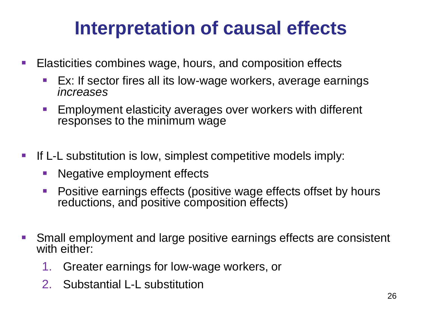#### **Interpretation of causal effects**

- **Elasticities combines wage, hours, and composition effects** 
	- Ex: If sector fires all its low-wage workers, average earnings *increases*
	- **Employment elasticity averages over workers with different** responses to the minimum wage
- **If L-L substitution is low, simplest competitive models imply:** 
	- Negative employment effects
	- Positive earnings effects (positive wage effects offset by hours reductions, and positive composition effects)
- Small employment and large positive earnings effects are consistent with either:
	- 1. Greater earnings for low-wage workers, or
	- 2. Substantial L-L substitution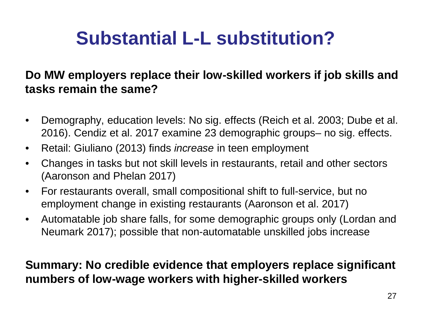### **Substantial L-L substitution?**

#### **Do MW employers replace their low-skilled workers if job skills and tasks remain the same?**

- Demography, education levels: No sig. effects (Reich et al. 2003; Dube et al. 2016). Cendiz et al. 2017 examine 23 demographic groups– no sig. effects.
- Retail: Giuliano (2013) finds *increase* in teen employment
- Changes in tasks but not skill levels in restaurants, retail and other sectors (Aaronson and Phelan 2017)
- For restaurants overall, small compositional shift to full-service, but no employment change in existing restaurants (Aaronson et al. 2017)
- Automatable job share falls, for some demographic groups only (Lordan and Neumark 2017); possible that non-automatable unskilled jobs increase

#### **Summary: No credible evidence that employers replace significant numbers of low-wage workers with higher-skilled workers**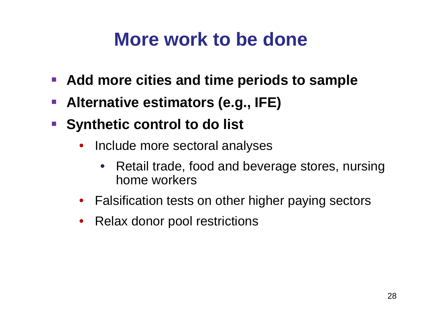#### **More work to be done**

- **Add more cities and time periods to sample**
- **Alternative estimators (e.g., IFE)**
- **Synthetic control to do list** 
	- Include more sectoral analyses
		- Retail trade, food and beverage stores, nursing home workers
	- Falsification tests on other higher paying sectors
	- Relax donor pool restrictions